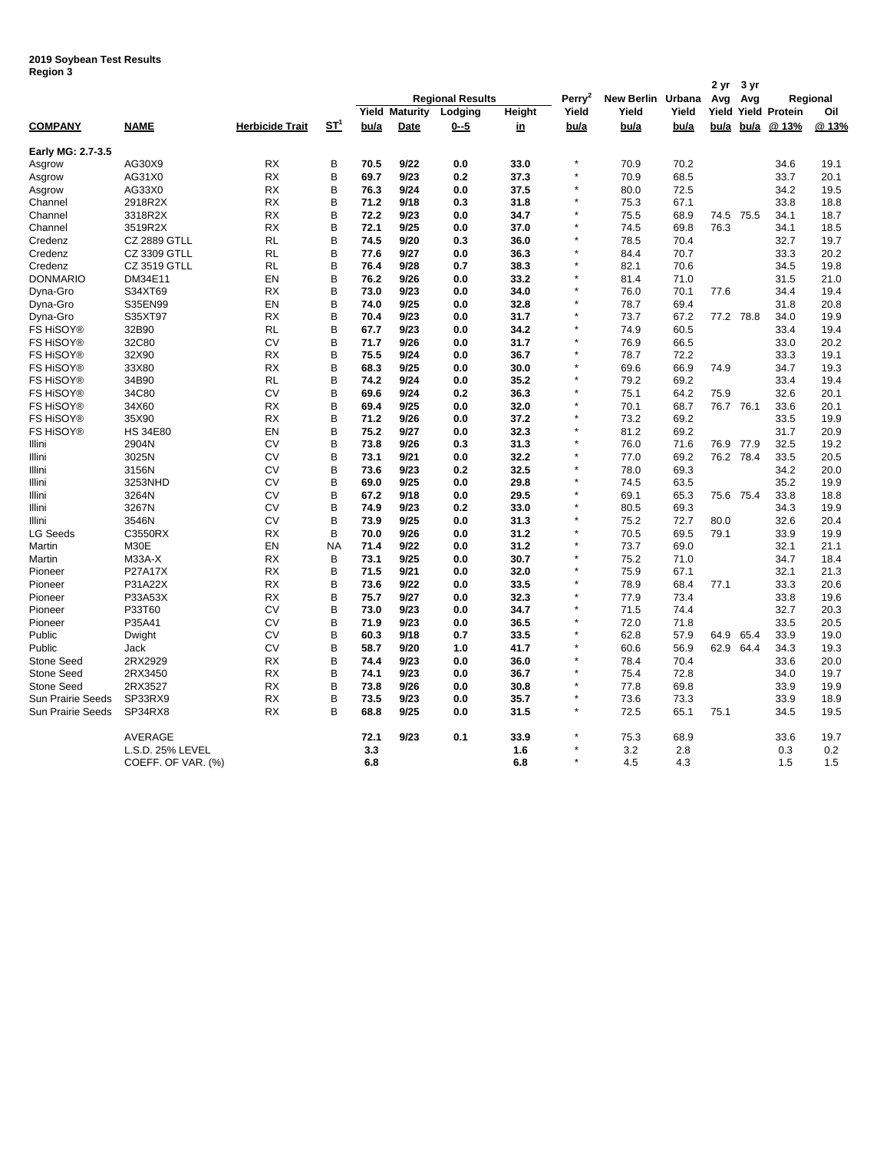**2019 Soybean Test Results Region 3**

| negiun J                 |                     |                        |                 |                         |                 |         |           |                    |                   |       | 2 yr      | 3 yr |                      |      |
|--------------------------|---------------------|------------------------|-----------------|-------------------------|-----------------|---------|-----------|--------------------|-------------------|-------|-----------|------|----------------------|------|
|                          |                     |                        |                 | <b>Regional Results</b> |                 |         |           | Perry <sup>2</sup> | New Berlin Urbana |       | Avg       | Avg  | Regional             |      |
|                          |                     |                        |                 | Yield                   | <b>Maturity</b> | Lodging | Height    | Yield              | Yield             | Yield | Yield     |      | <b>Yield Protein</b> | Oil  |
| <b>COMPANY</b>           | <b>NAME</b>         | <b>Herbicide Trait</b> | ST <sup>1</sup> | bu/a                    | <b>Date</b>     | $0 - 5$ | <u>in</u> | bu/a               | bu/a              | bu/a  | bu/a      | bu/a | @13%                 | @13% |
| Early MG: 2.7-3.5        |                     |                        |                 |                         |                 |         |           |                    |                   |       |           |      |                      |      |
| Asgrow                   | AG30X9              | <b>RX</b>              | B               | 70.5                    | 9/22            | 0.0     | 33.0      |                    | 70.9              | 70.2  |           |      | 34.6                 | 19.1 |
| Asgrow                   | AG31X0              | <b>RX</b>              | B               | 69.7                    | 9/23            | 0.2     | 37.3      |                    | 70.9              | 68.5  |           |      | 33.7                 | 20.1 |
| Asgrow                   | AG33X0              | RX                     | B               | 76.3                    | 9/24            | 0.0     | 37.5      |                    | 80.0              | 72.5  |           |      | 34.2                 | 19.5 |
| Channel                  | 2918R2X             | <b>RX</b>              | B               | 71.2                    | 9/18            | 0.3     | 31.8      |                    | 75.3              | 67.1  |           |      | 33.8                 | 18.8 |
| Channel                  | 3318R2X             | RX                     | B               | 72.2                    | 9/23            | 0.0     | 34.7      |                    | 75.5              | 68.9  | 74.5      | 75.5 | 34.1                 | 18.7 |
| Channel                  | 3519R2X             | <b>RX</b>              | B               | 72.1                    | 9/25            | 0.0     | 37.0      |                    | 74.5              | 69.8  | 76.3      |      | 34.1                 | 18.5 |
| Credenz                  | <b>CZ 2889 GTLL</b> | RL                     | B               | 74.5                    | 9/20            | 0.3     | 36.0      |                    | 78.5              | 70.4  |           |      | 32.7                 | 19.7 |
| Credenz                  | <b>CZ 3309 GTLL</b> | RL                     | B               | 77.6                    | 9/27            | 0.0     | 36.3      |                    | 84.4              | 70.7  |           |      | 33.3                 | 20.2 |
| Credenz                  | <b>CZ 3519 GTLL</b> | RL                     | B               | 76.4                    | 9/28            | 0.7     | 38.3      |                    | 82.1              | 70.6  |           |      | 34.5                 | 19.8 |
| <b>DONMARIO</b>          | DM34E11             | EN                     | B               | 76.2                    | 9/26            | 0.0     | 33.2      |                    | 81.4              | 71.0  |           |      | 31.5                 | 21.0 |
| Dyna-Gro                 | S34XT69             | <b>RX</b>              | B               | 73.0                    | 9/23            | 0.0     | 34.0      |                    | 76.0              | 70.1  | 77.6      |      | 34.4                 | 19.4 |
| Dyna-Gro                 | S35EN99             | EN                     | B               | 74.0                    | 9/25            | 0.0     | 32.8      |                    | 78.7              | 69.4  |           |      | 31.8                 | 20.8 |
| Dyna-Gro                 | S35XT97             | RX                     | B               | 70.4                    | 9/23            | 0.0     | 31.7      |                    | 73.7              | 67.2  | 77.2 78.8 |      | 34.0                 | 19.9 |
| <b>FS HISOY®</b>         | 32B90               | RL                     | B               | 67.7                    | 9/23            | 0.0     | 34.2      |                    | 74.9              | 60.5  |           |      | 33.4                 | 19.4 |
| <b>FS HISOY®</b>         | 32C80               | СV                     | B               | 71.7                    | 9/26            | 0.0     | 31.7      |                    | 76.9              | 66.5  |           |      | 33.0                 | 20.2 |
| FS HiSOY®                | 32X90               | <b>RX</b>              | B               | 75.5                    | 9/24            | 0.0     | 36.7      |                    | 78.7              | 72.2  |           |      | 33.3                 | 19.1 |
| FS HiSOY®                | 33X80               | <b>RX</b>              | B               | 68.3                    | 9/25            | 0.0     | 30.0      |                    | 69.6              | 66.9  | 74.9      |      | 34.7                 | 19.3 |
| <b>FS HISOY®</b>         | 34B90               | RL                     | B               | 74.2                    | 9/24            | 0.0     | 35.2      |                    | 79.2              | 69.2  |           |      | 33.4                 | 19.4 |
| FS HiSOY®                | 34C80               | CV                     | B               | 69.6                    | 9/24            | 0.2     | 36.3      |                    | 75.1              | 64.2  | 75.9      |      | 32.6                 | 20.1 |
| <b>FS HiSOY®</b>         | 34X60               | <b>RX</b>              | B               | 69.4                    | 9/25            | 0.0     | 32.0      |                    | 70.1              | 68.7  | 76.7 76.1 |      | 33.6                 | 20.1 |
| FS HiSOY®                | 35X90               | RX                     | B               | 71.2                    | 9/26            | 0.0     | 37.2      |                    | 73.2              | 69.2  |           |      | 33.5                 | 19.9 |
| <b>FS HiSOY®</b>         | <b>HS 34E80</b>     | EN                     | B               | 75.2                    | 9/27            | 0.0     | 32.3      |                    | 81.2              | 69.2  |           |      | 31.7                 | 20.9 |
| Illini                   | 2904N               | СV                     | B               | 73.8                    | 9/26            | 0.3     | 31.3      |                    | 76.0              | 71.6  | 76.9      | 77.9 | 32.5                 | 19.2 |
| Illini                   | 3025N               | <b>CV</b>              | B               | 73.1                    | 9/21            | 0.0     | 32.2      |                    | 77.0              | 69.2  | 76.2 78.4 |      | 33.5                 | 20.5 |
| Illini                   | 3156N               | CV                     | B               | 73.6                    | 9/23            | 0.2     | 32.5      |                    | 78.0              | 69.3  |           |      | 34.2                 | 20.0 |
| Illini                   | 3253NHD             | CV                     | B               | 69.0                    | 9/25            | 0.0     | 29.8      |                    | 74.5              | 63.5  |           |      | 35.2                 | 19.9 |
| Illini                   | 3264N               | <b>CV</b>              | B               | 67.2                    | 9/18            | 0.0     | 29.5      |                    | 69.1              | 65.3  | 75.6 75.4 |      | 33.8                 | 18.8 |
| Illini                   | 3267N               | CV                     | B               | 74.9                    | 9/23            | 0.2     | 33.0      |                    | 80.5              | 69.3  |           |      | 34.3                 | 19.9 |
| Illini                   | 3546N               | CV                     | B               | 73.9                    | 9/25            | 0.0     | 31.3      |                    | 75.2              | 72.7  | 80.0      |      | 32.6                 | 20.4 |
| <b>LG Seeds</b>          | C3550RX             | <b>RX</b>              | B               | 70.0                    | 9/26            | 0.0     | 31.2      |                    | 70.5              | 69.5  | 79.1      |      | 33.9                 | 19.9 |
| Martin                   | M30E                | EN                     | <b>NA</b>       | 71.4                    | 9/22            | 0.0     | 31.2      |                    | 73.7              | 69.0  |           |      | 32.1                 | 21.1 |
| Martin                   | <b>M33A-X</b>       | <b>RX</b>              | В               | 73.1                    | 9/25            | 0.0     | 30.7      |                    | 75.2              | 71.0  |           |      | 34.7                 | 18.4 |
| Pioneer                  | P27A17X             | RX                     | B               | 71.5                    | 9/21            | 0.0     | 32.0      |                    | 75.9              | 67.1  |           |      | 32.1                 | 21.3 |
| Pioneer                  | P31A22X             | <b>RX</b>              | B               | 73.6                    | 9/22            | 0.0     | 33.5      |                    | 78.9              | 68.4  | 77.1      |      | 33.3                 | 20.6 |
| Pioneer                  | P33A53X             | <b>RX</b>              | B               | 75.7                    | 9/27            | 0.0     | 32.3      |                    | 77.9              | 73.4  |           |      | 33.8                 | 19.6 |
| Pioneer                  | P33T60              | CV                     | B               | 73.0                    | 9/23            | 0.0     | 34.7      | ÷                  | 71.5              | 74.4  |           |      | 32.7                 | 20.3 |
| Pioneer                  | P35A41              | CV                     | B               | 71.9                    | 9/23            | 0.0     | 36.5      |                    | 72.0              | 71.8  |           |      | 33.5                 | 20.5 |
| Public                   | Dwight              | <b>CV</b>              | B               | 60.3                    | 9/18            | 0.7     | 33.5      |                    | 62.8              | 57.9  | 64.9      | 65.4 | 33.9                 | 19.0 |
| Public                   | Jack                | CV                     | B               | 58.7                    | 9/20            | 1.0     | 41.7      |                    | 60.6              | 56.9  | 62.9      | 64.4 | 34.3                 | 19.3 |
| <b>Stone Seed</b>        | 2RX2929             | <b>RX</b>              | B               | 74.4                    | 9/23            | 0.0     | 36.0      |                    | 78.4              | 70.4  |           |      | 33.6                 | 20.0 |
| Stone Seed               | 2RX3450             | RX                     | B               | 74.1                    | 9/23            | 0.0     | 36.7      |                    | 75.4              | 72.8  |           |      | 34.0                 | 19.7 |
| <b>Stone Seed</b>        | 2RX3527             | <b>RX</b>              | B               | 73.8                    | 9/26            | 0.0     | 30.8      | ÷                  | 77.8              | 69.8  |           |      | 33.9                 | 19.9 |
| <b>Sun Prairie Seeds</b> | SP33RX9             | <b>RX</b>              | B               | 73.5                    | 9/23            | 0.0     | 35.7      |                    | 73.6              | 73.3  |           |      | 33.9                 | 18.9 |
| <b>Sun Prairie Seeds</b> | SP34RX8             | <b>RX</b>              | B               | 68.8                    | 9/25            | 0.0     | 31.5      | $\star$            | 72.5              | 65.1  | 75.1      |      | 34.5                 | 19.5 |
|                          | AVERAGE             |                        |                 | 72.1                    | 9/23            | 0.1     | 33.9      |                    | 75.3              | 68.9  |           |      | 33.6                 | 19.7 |
|                          | L.S.D. 25% LEVEL    |                        |                 | 3.3                     |                 |         | 1.6       |                    | 3.2               | 2.8   |           |      | 0.3                  | 0.2  |
|                          | COEFF. OF VAR. (%)  |                        |                 | 6.8                     |                 |         | 6.8       | $\star$            | 4.5               | 4.3   |           |      | 1.5                  | 1.5  |